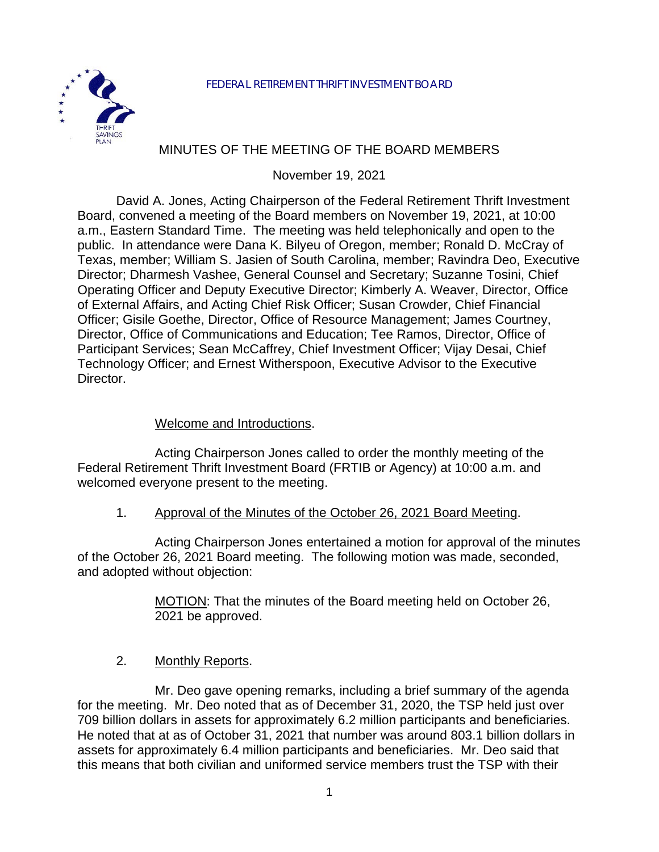

### MINUTES OF THE MEETING OF THE BOARD MEMBERS

November 19, 2021

David A. Jones, Acting Chairperson of the Federal Retirement Thrift Investment Board, convened a meeting of the Board members on November 19, 2021, at 10:00 a.m., Eastern Standard Time. The meeting was held telephonically and open to the public. In attendance were Dana K. Bilyeu of Oregon, member; Ronald D. McCray of Texas, member; William S. Jasien of South Carolina, member; Ravindra Deo, Executive Director; Dharmesh Vashee, General Counsel and Secretary; Suzanne Tosini, Chief Operating Officer and Deputy Executive Director; Kimberly A. Weaver, Director, Office of External Affairs, and Acting Chief Risk Officer; Susan Crowder, Chief Financial Officer; Gisile Goethe, Director, Office of Resource Management; James Courtney, Director, Office of Communications and Education; Tee Ramos, Director, Office of Participant Services; Sean McCaffrey, Chief Investment Officer; Vijay Desai, Chief Technology Officer; and Ernest Witherspoon, Executive Advisor to the Executive Director.

#### Welcome and Introductions.

Acting Chairperson Jones called to order the monthly meeting of the Federal Retirement Thrift Investment Board (FRTIB or Agency) at 10:00 a.m. and welcomed everyone present to the meeting.

#### 1. Approval of the Minutes of the October 26, 2021 Board Meeting.

Acting Chairperson Jones entertained a motion for approval of the minutes of the October 26, 2021 Board meeting. The following motion was made, seconded, and adopted without objection:

> MOTION: That the minutes of the Board meeting held on October 26, 2021 be approved.

#### 2. Monthly Reports.

Mr. Deo gave opening remarks, including a brief summary of the agenda for the meeting. Mr. Deo noted that as of December 31, 2020, the TSP held just over 709 billion dollars in assets for approximately 6.2 million participants and beneficiaries. He noted that at as of October 31, 2021 that number was around 803.1 billion dollars in assets for approximately 6.4 million participants and beneficiaries. Mr. Deo said that this means that both civilian and uniformed service members trust the TSP with their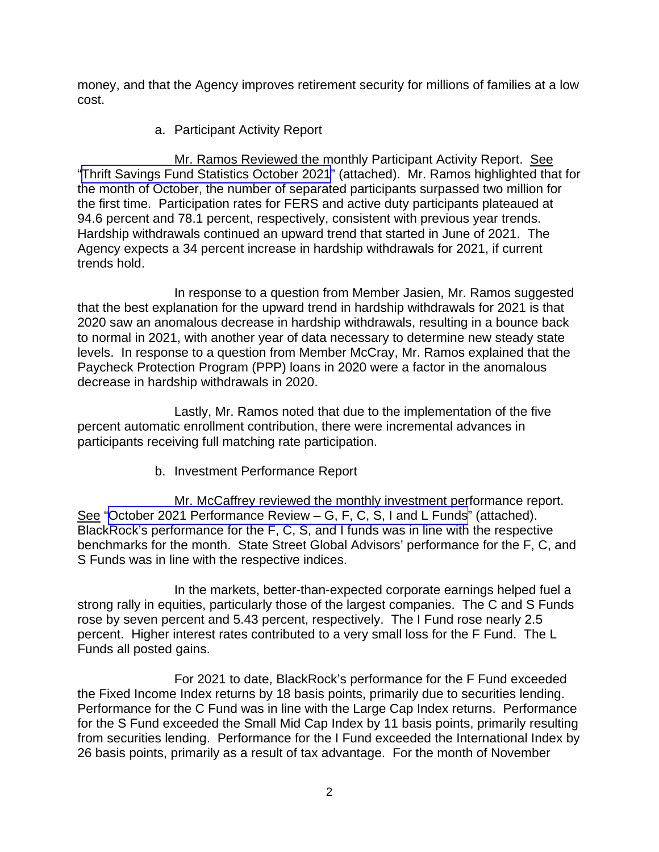money, and that the Agency improves retirement security for millions of families at a low cost.

a. Participant Activity Report

Mr. Ramos Reviewed the monthly Participant Activity Report. See "[Thrift Savings Fund Statistics October](https://www.frtib.gov/pdf/minutes/2021/Nov/MM-2021Nov-Att1.pdf) 2021" (attached). Mr. Ramos highlighted that for the month of October, the number of separated participants surpassed two million for the first time. Participation rates for FERS and active duty participants plateaued at 94.6 percent and 78.1 percent, respectively, consistent with previous year trends. Hardship withdrawals continued an upward trend that started in June of 2021. The Agency expects a 34 percent increase in hardship withdrawals for 2021, if current trends hold.

In response to a question from Member Jasien, Mr. Ramos suggested that the best explanation for the upward trend in hardship withdrawals for 2021 is that 2020 saw an anomalous decrease in hardship withdrawals, resulting in a bounce back to normal in 2021, with another year of data necessary to determine new steady state levels. In response to a question from Member McCray, Mr. Ramos explained that the Paycheck Protection Program (PPP) loans in 2020 were a factor in the anomalous decrease in hardship withdrawals in 2020.

Lastly, Mr. Ramos noted that due to the implementation of the five percent automatic enrollment contribution, there were incremental advances in participants receiving full matching rate participation.

b. Investment Performance Report

Mr. McCaffrey reviewed the monthly investment performance report. See "October 2021 Performance Review - G, F, C, S, I and L Funds" (attached). BlackRock's performance for the F, C, S, and I funds was in line with the respective benchmarks for the month. State Street Global Advisors' performance for the F, C, and S Funds was in line with the respective indices.

In the markets, better-than-expected corporate earnings helped fuel a strong rally in equities, particularly those of the largest companies. The C and S Funds rose by seven percent and 5.43 percent, respectively. The I Fund rose nearly 2.5 percent. Higher interest rates contributed to a very small loss for the F Fund. The L Funds all posted gains.

For 2021 to date, BlackRock's performance for the F Fund exceeded the Fixed Income Index returns by 18 basis points, primarily due to securities lending. Performance for the C Fund was in line with the Large Cap Index returns. Performance for the S Fund exceeded the Small Mid Cap Index by 11 basis points, primarily resulting from securities lending. Performance for the I Fund exceeded the International Index by 26 basis points, primarily as a result of tax advantage. For the month of November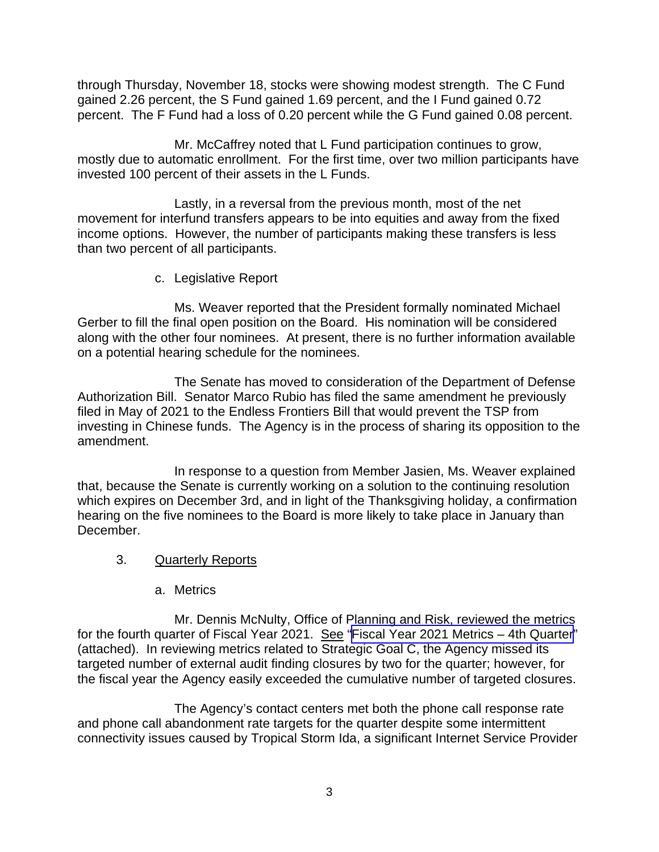through Thursday, November 18, stocks were showing modest strength. The C Fund gained 2.26 percent, the S Fund gained 1.69 percent, and the I Fund gained 0.72 percent. The F Fund had a loss of 0.20 percent while the G Fund gained 0.08 percent.

Mr. McCaffrey noted that L Fund participation continues to grow, mostly due to automatic enrollment. For the first time, over two million participants have invested 100 percent of their assets in the L Funds.

Lastly, in a reversal from the previous month, most of the net movement for interfund transfers appears to be into equities and away from the fixed income options. However, the number of participants making these transfers is less than two percent of all participants.

c. Legislative Report

Ms. Weaver reported that the President formally nominated Michael Gerber to fill the final open position on the Board. His nomination will be considered along with the other four nominees. At present, there is no further information available on a potential hearing schedule for the nominees.

The Senate has moved to consideration of the Department of Defense Authorization Bill. Senator Marco Rubio has filed the same amendment he previously filed in May of 2021 to the Endless Frontiers Bill that would prevent the TSP from investing in Chinese funds. The Agency is in the process of sharing its opposition to the amendment.

In response to a question from Member Jasien, Ms. Weaver explained that, because the Senate is currently working on a solution to the continuing resolution which expires on December 3rd, and in light of the Thanksgiving holiday, a confirmation hearing on the five nominees to the Board is more likely to take place in January than December.

- 3. Quarterly Reports
	- a. Metrics

Mr. Dennis McNulty, Office of Planning and Risk, reviewed the metrics for the fourth quarter of Fiscal Year 2021. See "[Fiscal Year 2021 Metrics – 4th Quarter"](https://www.frtib.gov/pdf/minutes/2021/Nov/MM-2021Nov-Att3.pdf) (attached). In reviewing metrics related to Strategic Goal C, the Agency missed its targeted number of external audit finding closures by two for the quarter; however, for the fiscal year the Agency easily exceeded the cumulative number of targeted closures.

The Agency's contact centers met both the phone call response rate and phone call abandonment rate targets for the quarter despite some intermittent connectivity issues caused by Tropical Storm Ida, a significant Internet Service Provider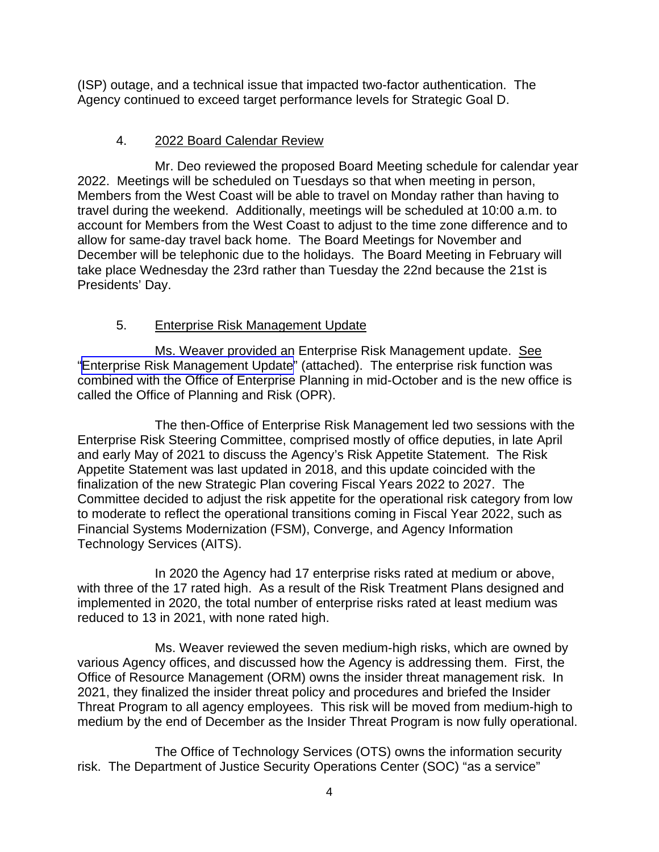(ISP) outage, and a technical issue that impacted two-factor authentication. The Agency continued to exceed target performance levels for Strategic Goal D.

## 4. 2022 Board Calendar Review

 Mr. Deo reviewed the proposed Board Meeting schedule for calendar year 2022. Meetings will be scheduled on Tuesdays so that when meeting in person, Members from the West Coast will be able to travel on Monday rather than having to travel during the weekend. Additionally, meetings will be scheduled at 10:00 a.m. to account for Members from the West Coast to adjust to the time zone difference and to allow for same-day travel back home. The Board Meetings for November and December will be telephonic due to the holidays. The Board Meeting in February will take place Wednesday the 23rd rather than Tuesday the 22nd because the 21st is Presidents' Day.

# 5. Enterprise Risk Management Update

Ms. Weaver provided an Enterprise Risk Management update. See "[Enterprise Risk Management Update"](https://www.frtib.gov/pdf/minutes/2021/Nov/MM-2021Nov-Att4.pdf) (attached). The enterprise risk function was combined with the Office of Enterprise Planning in mid-October and is the new office is called the Office of Planning and Risk (OPR).

The then-Office of Enterprise Risk Management led two sessions with the Enterprise Risk Steering Committee, comprised mostly of office deputies, in late April and early May of 2021 to discuss the Agency's Risk Appetite Statement. The Risk Appetite Statement was last updated in 2018, and this update coincided with the finalization of the new Strategic Plan covering Fiscal Years 2022 to 2027. The Committee decided to adjust the risk appetite for the operational risk category from low to moderate to reflect the operational transitions coming in Fiscal Year 2022, such as Financial Systems Modernization (FSM), Converge, and Agency Information Technology Services (AITS).

 In 2020 the Agency had 17 enterprise risks rated at medium or above, with three of the 17 rated high. As a result of the Risk Treatment Plans designed and implemented in 2020, the total number of enterprise risks rated at least medium was reduced to 13 in 2021, with none rated high.

 Ms. Weaver reviewed the seven medium-high risks, which are owned by various Agency offices, and discussed how the Agency is addressing them. First, the Office of Resource Management (ORM) owns the insider threat management risk. In 2021, they finalized the insider threat policy and procedures and briefed the Insider Threat Program to all agency employees. This risk will be moved from medium-high to medium by the end of December as the Insider Threat Program is now fully operational.

 The Office of Technology Services (OTS) owns the information security risk. The Department of Justice Security Operations Center (SOC) "as a service"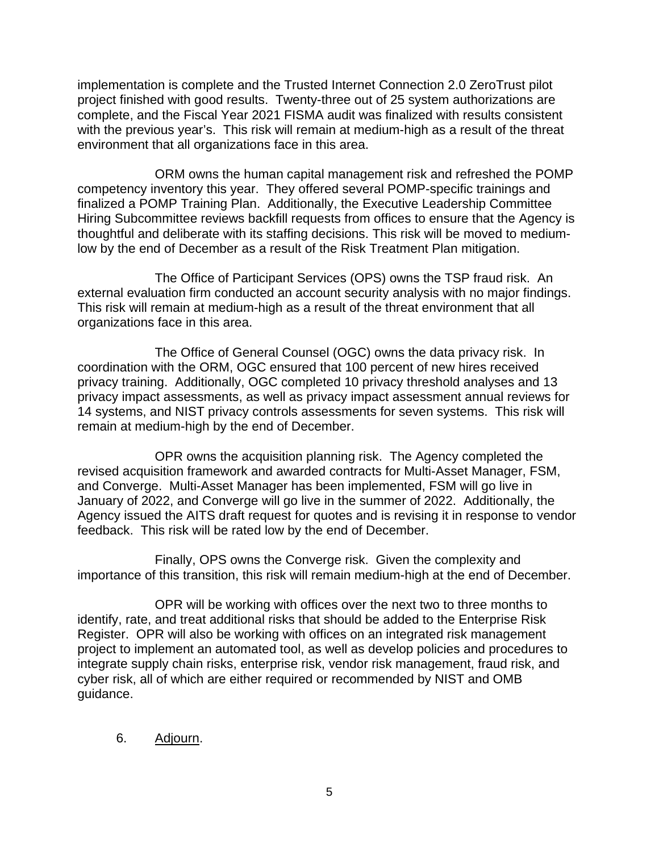implementation is complete and the Trusted Internet Connection 2.0 ZeroTrust pilot project finished with good results. Twenty-three out of 25 system authorizations are complete, and the Fiscal Year 2021 FISMA audit was finalized with results consistent with the previous year's. This risk will remain at medium-high as a result of the threat environment that all organizations face in this area.

 ORM owns the human capital management risk and refreshed the POMP competency inventory this year. They offered several POMP-specific trainings and finalized a POMP Training Plan. Additionally, the Executive Leadership Committee Hiring Subcommittee reviews backfill requests from offices to ensure that the Agency is thoughtful and deliberate with its staffing decisions. This risk will be moved to mediumlow by the end of December as a result of the Risk Treatment Plan mitigation.

 The Office of Participant Services (OPS) owns the TSP fraud risk. An external evaluation firm conducted an account security analysis with no major findings. This risk will remain at medium-high as a result of the threat environment that all organizations face in this area.

 The Office of General Counsel (OGC) owns the data privacy risk. In coordination with the ORM, OGC ensured that 100 percent of new hires received privacy training. Additionally, OGC completed 10 privacy threshold analyses and 13 privacy impact assessments, as well as privacy impact assessment annual reviews for 14 systems, and NIST privacy controls assessments for seven systems. This risk will remain at medium-high by the end of December.

 OPR owns the acquisition planning risk. The Agency completed the revised acquisition framework and awarded contracts for Multi-Asset Manager, FSM, and Converge. Multi-Asset Manager has been implemented, FSM will go live in January of 2022, and Converge will go live in the summer of 2022. Additionally, the Agency issued the AITS draft request for quotes and is revising it in response to vendor feedback. This risk will be rated low by the end of December.

 Finally, OPS owns the Converge risk. Given the complexity and importance of this transition, this risk will remain medium-high at the end of December.

 OPR will be working with offices over the next two to three months to identify, rate, and treat additional risks that should be added to the Enterprise Risk Register. OPR will also be working with offices on an integrated risk management project to implement an automated tool, as well as develop policies and procedures to integrate supply chain risks, enterprise risk, vendor risk management, fraud risk, and cyber risk, all of which are either required or recommended by NIST and OMB guidance.

#### 6. Adjourn.